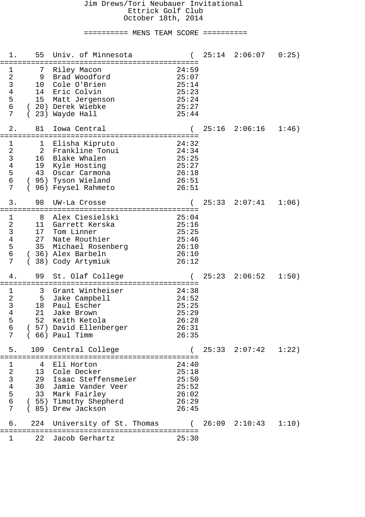# ========== MENS TEAM SCORE ==========

| 1.                                                                                               | 55                  | Univ. of Minnesota                                                                                                                                |                                                             |       | $25:14$ $2:06:07$        | 0:25) |
|--------------------------------------------------------------------------------------------------|---------------------|---------------------------------------------------------------------------------------------------------------------------------------------------|-------------------------------------------------------------|-------|--------------------------|-------|
| 1<br>$\boldsymbol{2}$<br>$\mathsf{3}$<br>$\overline{4}$<br>5<br>$\epsilon$<br>7                  | 7<br>9<br>10        | Riley Macon<br>Brad Woodford<br>Cole O'Brien<br>14 Eric Colvin<br>15 Matt Jergenson<br>(20) Derek Wiebke<br>23) Wayde Hall                        | 24:59<br>25:07<br>25:14<br>25:23<br>25:24<br>25:27<br>25:44 |       |                          |       |
| $2$ .                                                                                            | 81                  | Iowa Central                                                                                                                                      |                                                             |       | $25:16$ $2:06:16$        | 1:46) |
| $\mathbf 1$<br>$\overline{a}$<br>$\mathsf{3}$<br>$\overline{4}$<br>5<br>$\epsilon$<br>7          | 1<br>2<br>$\left($  | Elisha Kipruto<br>Frankline Tonui<br>16 Blake Whalen<br>19 Kyle Hosting<br>43 Oscar Carmona<br>( 95) Tyson Wieland<br>96) Feysel Rahmeto          | 24:32<br>24:34<br>25:25<br>25:27<br>26:18<br>26:51<br>26:51 |       |                          |       |
| 3.                                                                                               | 98                  | UW-La Crosse                                                                                                                                      |                                                             | 25:33 | 2:07:41                  | 1:06) |
| $\mathbf 1$<br>$\boldsymbol{2}$<br>$\mathsf{3}$<br>$\overline{4}$<br>5<br>6<br>7                 | 8<br>11<br>17<br>27 | Alex Ciesielski<br>Garrett Kerska<br>Tom Linner<br>Nate Routhier<br>35 Michael Rosenberg<br>(36) Alex Barbeln<br>38) Cody Artymiuk                | 25:04<br>25:16<br>25:25<br>25:46<br>26:10<br>26:10<br>26:12 |       |                          |       |
| 4.                                                                                               | 99                  | St. Olaf College<br>========================<br>:====================                                                                             |                                                             |       | $25:23$ $2:06:52$        | 1:50) |
| $\mathbf 1$<br>$\overline{\mathbf{c}}$<br>$\mathsf{3}$<br>$\overline{\mathbf{4}}$<br>5<br>6<br>7 | 3<br>21<br>52       | Grant Wintheiser<br>5 Jake Campbell<br>18 Paul Escher<br>Jake Brown<br>Keith Ketola<br>( 57) David Ellenberger<br>$(66)$ Paul Timm                | 24:38<br>24:52<br>25:25<br>25:29<br>26:28<br>26:31<br>26:35 |       |                          |       |
| 5.                                                                                               |                     | 109 Central College                                                                                                                               |                                                             |       | $25:33$ $2:07:42$ $1:22$ |       |
| $\mathbf 1$<br>$\begin{array}{c} 2 \\ 3 \\ 4 \end{array}$<br>5<br>$\epsilon$<br>7                |                     | 4 Eli Horton<br>13 Cole Decker<br>29 Isaac Steffensmeier<br>30 Jamie Vander Veer<br>33 Mark Fairley<br>(55) Timothy Shepherd<br>(85) Drew Jackson | 24:40<br>25:18<br>25:50<br>25:52<br>26:02<br>26:29<br>26:45 |       |                          |       |
| б.                                                                                               | 224                 | University of St. Thomas                                                                                                                          | $\left($                                                    |       | $26:09$ $2:10:43$ $1:10$ |       |
| 1.                                                                                               | 22                  | Jacob Gerhartz                                                                                                                                    | 25:30                                                       |       |                          |       |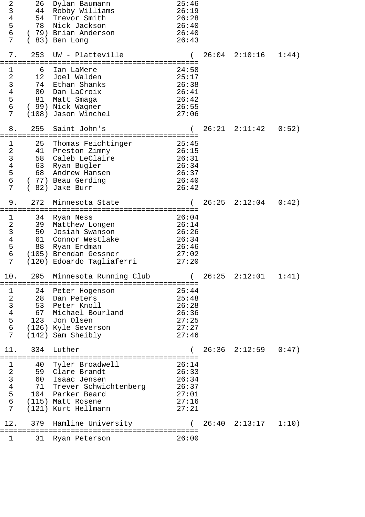| 2<br>3<br>$\bf 4$<br>5<br>6<br>7                                                                    | 26<br>54<br>78             | Dylan Baumann<br>44 Robby Williams<br>Trevor Smith<br>Nick Jackson<br>(79) Brian Anderson<br>(83) Ben Long                                                               | 25:46<br>26:19<br>26:28<br>26:40<br>26:40<br>26:43          |       |                            |       |
|-----------------------------------------------------------------------------------------------------|----------------------------|--------------------------------------------------------------------------------------------------------------------------------------------------------------------------|-------------------------------------------------------------|-------|----------------------------|-------|
| 7.                                                                                                  | 253                        | UW - Platteville                                                                                                                                                         |                                                             |       | $26:04$ $2:10:16$          | 1:44) |
| $\mathbf 1$<br>$\overline{a}$<br>$\mathsf{3}$<br>$\overline{4}$<br>5<br>$6\phantom{.}$<br>7         | 6<br>12<br>80<br>81        | Ian LaMere<br>Joel Walden<br>74 Ethan Shanks<br>Dan LaCroix<br>Matt Smaga<br>(99) Nick Wagner<br>(108) Jason Winchel                                                     | 24:58<br>25:17<br>26:38<br>26:41<br>26:42<br>26:55<br>27:06 |       |                            |       |
| 8.                                                                                                  | 255                        | Saint John's                                                                                                                                                             |                                                             |       | $26:21$ $2:11:42$          | 0:52) |
| $\mathbf{1}$<br>$\overline{a}$<br>$\overline{3}$<br>$\overline{\mathbf{4}}$<br>5<br>$\epsilon$<br>7 | 25<br>58<br>63<br>68       | Thomas Feichtinger<br>41 Preston Zimny<br>Caleb LeClaire<br>Ryan Bugler<br>Andrew Hansen<br>(77) Beau Gerding<br>(82) Jake Burr                                          | 25:45<br>26:15<br>26:31<br>26:34<br>26:37<br>26:40<br>26:42 |       |                            |       |
| 9.                                                                                                  | 272                        | Minnesota State                                                                                                                                                          |                                                             | 26:25 | 2:12:04                    | 0:42) |
| $\mathbf 1$<br>$\overline{a}$<br>$\mathbf{3}$<br>$\,4$<br>5<br>$6\phantom{.}$<br>7                  | 34<br>39<br>50<br>61<br>88 | Ryan Ness<br>Matthew Longen<br>Josiah Swanson<br>Connor Westlake<br>Ryan Erdman<br>(105) Brendan Gessner<br>(120) Edoardo Tagliaferri                                    | 26:04<br>26:14<br>26:26<br>26:34<br>26:46<br>27:02<br>27:20 |       |                            |       |
| 10.                                                                                                 |                            | 295 Minnesota Running Club                                                                                                                                               |                                                             | 26:25 | 2:12:01                    | 1:41) |
| $\mathbf 1$<br>$\frac{1}{2}$<br>$\frac{3}{4}$<br>$\frac{4}{5}$<br>$\frac{6}{5}$<br>$\overline{7}$   | 24                         | ===============================<br>Peter Hogenson<br>28 Dan Peters<br>53 Peter Knoll<br>67 Michael Bourland<br>123 Jon Olsen<br>(126) Kyle Severson<br>(142) Sam Sheibly | 25:44<br>25:48<br>26:28<br>26:36<br>27:25<br>27:27<br>27:46 |       |                            |       |
| 11.                                                                                                 | 334                        | Luther                                                                                                                                                                   |                                                             |       | $26:36$ $2:12:59$ $0:47$ ) |       |
| $\mathbf 1$<br>$\frac{1}{2}$<br>$\frac{3}{4}$<br>$\frac{4}{5}$<br>$\frac{5}{6}$<br>7                |                            | 40 Tyler Broadwell<br>59 Clare Brandt<br>60 Isaac Jensen<br>71 Trever Schwichtenberg<br>104 Parker Beard<br>(115) Matt Rosene<br>(121) Kurt Hellmann                     | 26:14<br>26:33<br>26:34<br>26:37<br>27:01<br>27:16<br>27:21 |       |                            |       |
| 12.                                                                                                 | 379                        | Hamline University                                                                                                                                                       |                                                             |       | $26:40$ $2:13:17$ $1:10$   |       |
| 1                                                                                                   | 31                         | Ryan Peterson                                                                                                                                                            | 26:00                                                       |       |                            |       |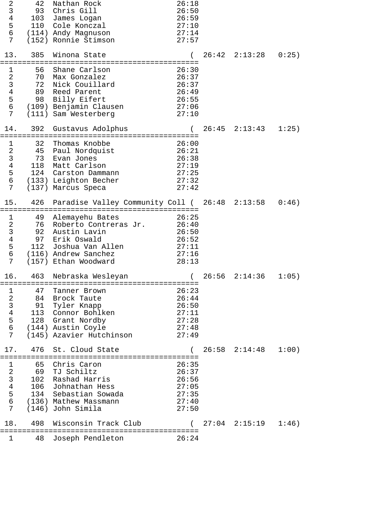| 2<br>$\mathsf{3}$<br>$\overline{4}$<br>5<br>6<br>7                                       | 42<br>93<br>103        | Nathan Rock<br>Chris Gill<br>James Logan<br>110 Cole Konczal<br>(114) Andy Magnuson<br>(152) Ronnie Stimson                                                                 | 26:18<br>26:50<br>26:59<br>27:10<br>27:14<br>27:57          |                          |       |
|------------------------------------------------------------------------------------------|------------------------|-----------------------------------------------------------------------------------------------------------------------------------------------------------------------------|-------------------------------------------------------------|--------------------------|-------|
| 13.                                                                                      | 385                    | Winona State                                                                                                                                                                |                                                             | $26:42$ $2:13:28$        | 0:25) |
| $\mathbf 1$<br>$\overline{a}$<br>$\mathfrak{Z}$<br>$\bf 4$<br>5<br>6<br>7                | 56<br>72<br>89         | Shane Carlson<br>70 Max Gonzalez<br>Nick Couillard<br>Reed Parent<br>98 Billy Eifert<br>(109) Benjamin Clausen<br>(111) Sam Westerberg                                      | 26:30<br>26:37<br>26:37<br>26:49<br>26:55<br>27:06<br>27:10 |                          |       |
| 14.                                                                                      | 392<br>=============== | Gustavus Adolphus                                                                                                                                                           |                                                             | $26:45$ $2:13:43$        | 1:25) |
| $\mathbf 1$<br>$\frac{2}{3}$<br>$\,4$<br>5<br>6<br>7                                     | 32<br>45<br>73<br>118  | Thomas Knobbe<br>Paul Nordquist<br>Evan Jones<br>Matt Carlson<br>124 Carston Dammann<br>(133) Leighton Becher<br>(137) Marcus Speca                                         | 26:00<br>26:21<br>26:38<br>27:19<br>27:25<br>27:32<br>27:42 |                          |       |
| 15.                                                                                      | 426                    | Paradise Valley Community Coll ( 26:48 2:13:58                                                                                                                              |                                                             |                          | 0:46) |
| $\mathbf 1$<br>$\boldsymbol{2}$<br>$\overline{3}$<br>$\bf 4$<br>5<br>$6\phantom{.}$<br>7 | 49<br>92<br>97<br>112  | Alemayehu Bates<br>76 Roberto Contreras Jr.<br>Austin Lavin<br>Erik Oswald<br>Joshua Van Allen<br>(116) Andrew Sanchez<br>(157) Ethan Woodward                              | 26:25<br>26:40<br>26:50<br>26:52<br>27:11<br>27:16<br>28:13 |                          |       |
| 16.                                                                                      |                        | 463 Nebraska Wesleyan                                                                                                                                                       | $\sqrt{2}$                                                  | $26:56$ $2:14:36$        | 1:05) |
| $\mathbf 1$<br>$\overline{7}$                                                            | 47                     | Tanner Brown<br>2 84 Brock Taute<br>3 91 Tyler Knapp<br>4 113 Connor Bohlke<br>5 128 Grant Nordby<br>6 (144) Austin Coyle<br>113 Connor Bohlken<br>(145) Azavier Hutchinson | 26:23<br>26:44<br>26:50<br>27:11<br>27:28<br>27:48<br>27:49 |                          |       |
| 17.                                                                                      | 476                    | St. Cloud State                                                                                                                                                             |                                                             | $26:58$ $2:14:48$ $1:00$ |       |
| $\mathbf 1$<br>$2$ 3 4 5 6<br>$\overline{7}$                                             | 65                     | Chris Caron<br>69 TJ Schiltz<br>102 Rashad Harris<br>106 Johnathan Hess<br>134 Sebastian Sowada<br>(136) Mathew Massmann<br>(146) John Simila                               | 26:35<br>26:37<br>26:56<br>27:05<br>27:35<br>27:40<br>27:50 |                          |       |
| 18.                                                                                      | 498                    | Wisconsin Track Club                                                                                                                                                        |                                                             | $27:04$ $2:15:19$ $1:46$ |       |
| 1                                                                                        | 48                     | Joseph Pendleton                                                                                                                                                            | 26:24                                                       |                          |       |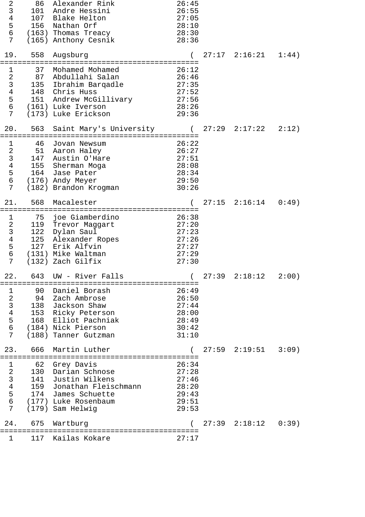| $\boldsymbol{2}$<br>$\overline{3}$<br>$\overline{4}$<br>5<br>$\sigma$<br>7                                      | 86<br>101<br>107<br>156       | Alexander Rink<br>Andre Hessini<br>Blake Helton<br>Nathan Orf<br>(163) Thomas Treacy<br>(165) Anthony Cesnik                                     | 26:45<br>26:55<br>27:05<br>28:10<br>28:30<br>28:36          |       |                            |       |
|-----------------------------------------------------------------------------------------------------------------|-------------------------------|--------------------------------------------------------------------------------------------------------------------------------------------------|-------------------------------------------------------------|-------|----------------------------|-------|
| 19.                                                                                                             | 558                           | Augsburg                                                                                                                                         |                                                             |       | $27:17$ $2:16:21$          | 1:44) |
| $\mathbf 1$<br>$\overline{a}$<br>$\mathbf{3}$<br>$\overline{4}$<br>$\overline{5}$<br>$6\overline{6}$<br>7       | 37<br>87<br>135               | Mohamed Mohamed<br>Abdullahi Salan<br>Ibrahim Barqadle<br>148 Chris Huss<br>151 Andrew McGillivary<br>(161) Luke Iverson<br>(173) Luke Erickson  | 26:12<br>26:46<br>27:35<br>27:52<br>27:56<br>28:26<br>29:36 |       |                            |       |
| 20.                                                                                                             | 563                           | Saint Mary's University (                                                                                                                        |                                                             | 27:29 | 2:17:22                    | 2:12) |
| 1<br>$\begin{array}{c}\n2 \\ 3 \\ 4 \\ 5\n\end{array}$<br>$6\overline{6}$<br>$\overline{7}$                     | 46<br>51<br>147<br>155<br>164 | Jovan Newsum<br>Aaron Haley<br>Austin O'Hare<br>Sherman Moga<br>Jase Pater<br>(176) Andy Meyer<br>(182) Brandon Krogman                          | 26:22<br>26:27<br>27:51<br>28:08<br>28:34<br>29:50<br>30:26 |       |                            |       |
| 21.                                                                                                             | 568                           | Macalester                                                                                                                                       |                                                             |       | $27:15$ $2:16:14$ $0:49$   |       |
| $\mathbf 1$<br>$\overline{a}$<br>$\mathsf{3}$<br>$\overline{4}$<br>$\overline{5}$<br>$\sigma$<br>$\overline{7}$ | 75<br>122<br>125<br>127       | joe Giamberdino<br>119 Trevor Maggart<br>Dylan Saul<br>Alexander Ropes<br>Erik Alfvin<br>(131) Mike Waltman<br>(132) Zach Gilfix                 | 26:38<br>27:20<br>27:23<br>27:26<br>27:27<br>27:29<br>27:30 |       |                            |       |
| 22.                                                                                                             |                               | 643 UW -<br>River Falls                                                                                                                          |                                                             | 27:39 | $2:18:12$ $2:00)$          |       |
| $\mathbf 1$<br>2<br>3<br>4<br>5<br>6<br>6<br>$\overline{7}$                                                     | 90                            | Daniel Borash<br>94 Zach Ambrose<br>138 Jackson Shaw<br>153 Ricky Peterson<br>168 Elliot Pachniak<br>(184) Nick Pierson<br>(188) Tanner Gutzman  | 26:49<br>26:50<br>27:44<br>28:00<br>28:49<br>30:42<br>31:10 |       |                            |       |
| 23.                                                                                                             | 666                           | Martin Luther                                                                                                                                    |                                                             |       | $27:59$ $2:19:51$ $3:09$ ) |       |
| 123456<br>$\overline{7}$                                                                                        | 62<br>130                     | Grey Davis<br>Darian Schnose<br>141 Justin Wilkens<br>159 Jonathan Fleischmann<br>174 James Schuette<br>(177) Luke Rosenbaum<br>(179) Sam Helwig | 26:34<br>27:28<br>27:46<br>28:20<br>29:43<br>29:51<br>29:53 |       |                            |       |
| 24.                                                                                                             | 675                           | Wartburg                                                                                                                                         |                                                             |       | $27:39$ $2:18:12$ $0:39$ ) |       |
| 1                                                                                                               | 117                           | Kailas Kokare                                                                                                                                    | 27:17                                                       |       |                            |       |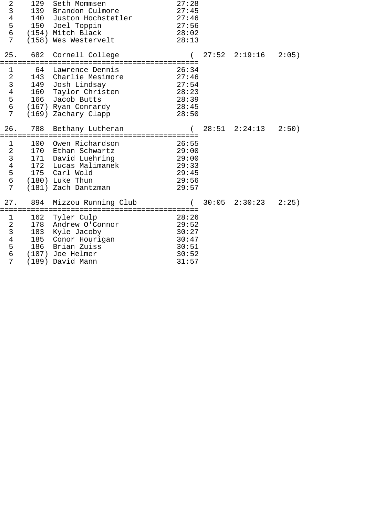| $\sqrt{2}$<br>$\mathsf{3}$<br>$\overline{4}$<br>$\frac{5}{6}$<br>7                | 129                 | Seth Mommsen<br>139 Brandon Culmore<br>140 Juston Hochstetler<br>150 Joel Toppin<br>(154) Mitch Black<br>(158) Wes Westervelt                       | 27:28<br>27:45<br>27:46<br>27:56<br>28:02<br>28:13                                 |                          |       |
|-----------------------------------------------------------------------------------|---------------------|-----------------------------------------------------------------------------------------------------------------------------------------------------|------------------------------------------------------------------------------------|--------------------------|-------|
| 25.                                                                               | 682                 | Cornell College                                                                                                                                     |                                                                                    | $27:52$ $2:19:16$ $2:05$ |       |
| $1\,$<br>$\frac{2}{3}$<br>$\overline{4}$<br>5<br>$6\overline{}$<br>$\overline{7}$ | 64                  | Lawrence Dennis<br>143 Charlie Mesimore<br>149 Josh Lindsay<br>160 Taylor Christen<br>166 Jacob Butts<br>(167) Ryan Conrardy<br>(169) Zachary Clapp | 26:34<br>27:46<br>27:54<br>28:23<br>28:39<br>28:45<br>28:50                        |                          |       |
| 26.                                                                               | 788<br>============ | Bethany Lutheran                                                                                                                                    |                                                                                    | $28:51$ $2:24:13$        | 2:50) |
| $\mathbf 1$<br>$\begin{array}{c} 2 \\ 3 \\ 4 \\ 5 \end{array}$<br>$\sigma$<br>7   | 100                 | Owen Richardson<br>170 Ethan Schwartz<br>171 David Luehring<br>172 Lucas Malimanek<br>175 Carl Wold<br>(180) Luke Thun<br>(181) Zach Dantzman       | :==================<br>26:55<br>29:00<br>29:00<br>29:33<br>29:45<br>29:56<br>29:57 |                          |       |
| 27.                                                                               | 894                 | Mizzou Running Club                                                                                                                                 |                                                                                    | $30:05$ $2:30:23$        | 2:25) |
| $\mathbf{1}$<br>$\frac{2}{3}$<br>$\overline{4}$<br>5<br>$\sigma$<br>7             | 162<br>185<br>186   | Tyler Culp<br>178 Andrew O'Connor<br>183 Kyle Jacoby<br>Conor Hourigan<br>Brian Zuiss<br>(187) Joe Helmer<br>(189) David Mann                       | 28:26<br>29:52<br>30:27<br>30:47<br>30:51<br>30:52<br>31:57                        |                          |       |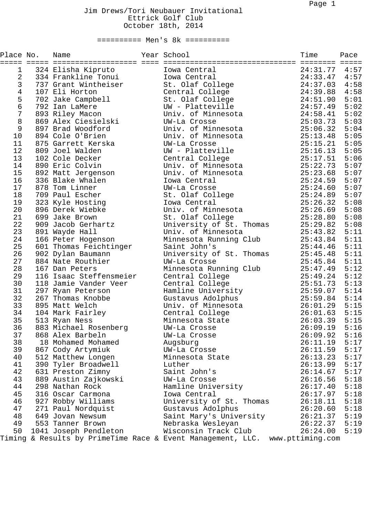| Place No.      | Name                    | Year School                                                                  | Time     | Pace<br>$=$ |
|----------------|-------------------------|------------------------------------------------------------------------------|----------|-------------|
| 1              | 324 Elisha Kipruto      | Iowa Central                                                                 | 24:31.77 | 4:57        |
| $\overline{2}$ | 334 Frankline Tonui     | Iowa Central                                                                 | 24:33.47 | 4:57        |
| $\mathbf{3}$   | 737 Grant Wintheiser    | St. Olaf College                                                             | 24:37.03 | 4:58        |
| $\overline{4}$ | 107 Eli Horton          | Central College                                                              | 24:39.88 | 4:58        |
| 5              | 702 Jake Campbell       | St. Olaf College                                                             | 24:51.90 | 5:01        |
| 6              | 792 Ian LaMere          | UW - Platteville                                                             | 24:57.49 | 5:02        |
| $\overline{7}$ | 893 Riley Macon         | Univ. of Minnesota                                                           | 24:58.41 | 5:02        |
| 8              | 869 Alex Ciesielski     | UW-La Crosse                                                                 | 25:03.73 | 5:03        |
| 9              | 897 Brad Woodford       | Univ. of Minnesota                                                           | 25:06.32 | 5:04        |
| 10             | 894 Cole O'Brien        | Univ. of Minnesota                                                           | 25:13.48 | 5:05        |
| 11             | 875 Garrett Kerska      | UW-La Crosse                                                                 | 25:15.21 | 5:05        |
| 12             | 809 Joel Walden         | UW - Platteville                                                             | 25:16.13 | 5:05        |
| 13             | 102 Cole Decker         | Central College                                                              | 25:17.51 | 5:06        |
| 14             | 890 Eric Colvin         | Univ. of Minnesota                                                           | 25:22.73 | 5:07        |
| 15             | 892 Matt Jergenson      | Univ. of Minnesota                                                           | 25:23.68 | 5:07        |
| 16             | 336 Blake Whalen        | Iowa Central                                                                 | 25:24.59 | 5:07        |
| 17             | 878 Tom Linner          | UW-La Crosse                                                                 | 25:24.60 | 5:07        |
| 18             | 709 Paul Escher         | St. Olaf College                                                             | 25:24.89 | 5:07        |
| 19             | 323 Kyle Hosting        | Iowa Central                                                                 | 25:26.32 | 5:08        |
| 20             | 896 Derek Wiebke        | Univ. of Minnesota                                                           | 25:26.69 | 5:08        |
| 21             | 699 Jake Brown          | St. Olaf College                                                             | 25:28.80 | 5:08        |
| 22             | 909 Jacob Gerhartz      | University of St. Thomas                                                     | 25:29.82 | 5:08        |
| 23             | 891 Wayde Hall          | Univ. of Minnesota                                                           | 25:43.82 | 5:11        |
| 24             | 166 Peter Hogenson      | Minnesota Running Club                                                       | 25:43.84 | 5:11        |
| 25             | 601 Thomas Feichtinger  | Saint John's                                                                 | 25:44.46 | 5:11        |
| 26             | 902 Dylan Baumann       | University of St. Thomas                                                     | 25:45.48 | 5:11        |
| 27             | 884 Nate Routhier       | UW-La Crosse                                                                 | 25:45.84 | 5:11        |
| 28             | 167 Dan Peters          | Minnesota Running Club                                                       | 25:47.49 | 5:12        |
| 29             | 116 Isaac Steffensmeier | Central College                                                              | 25:49.24 | 5:12        |
| 30             | 118 Jamie Vander Veer   | Central College                                                              | 25:51.73 | 5:13        |
| 31             | 297 Ryan Peterson       | Hamline University                                                           | 25:59.07 | 5:14        |
| 32             | 267 Thomas Knobbe       | Gustavus Adolphus                                                            | 25:59.84 | 5:14        |
| 33             | 895 Matt Welch          | Univ. of Minnesota                                                           | 26:01.29 | 5:15        |
| 34             | 104 Mark Fairley        | Central College                                                              | 26:01.63 | 5:15        |
| 35             | 513 Ryan Ness           | Minnesota State                                                              | 26:03.39 | 5:15        |
| 36             | 883 Michael Rosenberg   | UW-La Crosse                                                                 | 26:09.19 | 5:16        |
| 37             | 868 Alex Barbeln        | UW-La Crosse                                                                 | 26:09.92 | 5:16        |
| 38             | 18 Mohamed Mohamed      | Augsburg                                                                     | 26:11.19 | 5:17        |
| 39             | 867 Cody Artymiuk       | UW-La Crosse                                                                 | 26:11.59 | 5:17        |
| 40             | 512 Matthew Longen      | Minnesota State                                                              | 26:13.23 | 5:17        |
| 41             | 390 Tyler Broadwell     | Luther                                                                       | 26:13.99 | 5:17        |
| 42             | 631 Preston Zimny       | Saint John's                                                                 | 26:14.67 | 5:17        |
| 43             | 889 Austin Zajkowski    | UW-La Crosse                                                                 | 26:16.56 | 5:18        |
| 44             | 298 Nathan Rock         | Hamline University                                                           | 26:17.40 | 5:18        |
| 45             | 316 Oscar Carmona       | Iowa Central                                                                 | 26:17.97 | 5:18        |
| 46             | 927 Robby Williams      | University of St. Thomas                                                     | 26:18.11 | 5:18        |
| 47             | 271 Paul Nordquist      | Gustavus Adolphus                                                            | 26:20.60 | 5:18        |
| 48             | 649 Jovan Newsum        | Saint Mary's University                                                      | 26:21.37 | 5:19        |
| 49             | 553 Tanner Brown        | Nebraska Wesleyan                                                            | 26:22.37 | 5:19        |
| 50             | 1041 Joseph Pendleton   | Wisconsin Track Club                                                         | 26:24.00 | 5:19        |
|                |                         | Timing & Results by PrimeTime Race & Event Management, LLC. www.pttiming.com |          |             |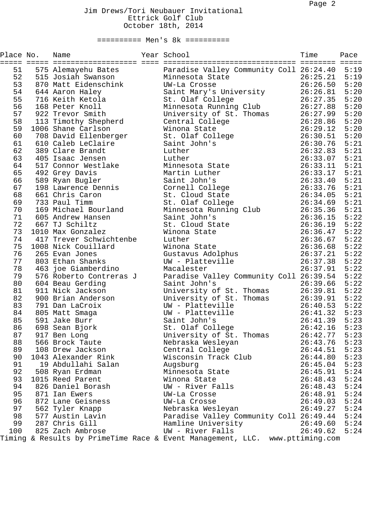| Place No. | Name                           | Year School                                                                  | Time<br>======== | Pace<br>$\equiv \equiv \equiv \equiv \equiv$ |
|-----------|--------------------------------|------------------------------------------------------------------------------|------------------|----------------------------------------------|
| 51        | 575 Alemayehu Bates            | Paradise Valley Community Coll 26:24.40                                      |                  | 5:19                                         |
| 52        | 515 Josiah Swanson             | Minnesota State                                                              | 26:25.21         | 5:19                                         |
| 53        | 870 Matt Eidenschink           | UW-La Crosse                                                                 | 26:26.50         | 5:20                                         |
| 54        | 644 Aaron Haley                | Saint Mary's University                                                      | 26:26.81         | 5:20                                         |
| 55        | 716 Keith Ketola               | St. Olaf College                                                             | 26:27.35         | 5:20                                         |
| 56        | 168 Peter Knoll                | Minnesota Running Club                                                       | 26:27.88         | 5:20                                         |
| 57        | 922 Trevor Smith               | University of St. Thomas                                                     | 26:27.99         | 5:20                                         |
| 58        | 113 Timothy Shepherd           | Central College                                                              | 26:28.86         | 5:20                                         |
| 59        | 1006 Shane Carlson             | Winona State                                                                 | 26:29.12         | 5:20                                         |
| 60        | 708 David Ellenberger          | St. Olaf College                                                             | 26:30.51         | 5:20                                         |
| 61        | 610 Caleb LeClaire             | Saint John's                                                                 | 26:30.76         | 5:21                                         |
| 62        | 389 Clare Brandt               | Luther                                                                       | 26:32.83         | 5:21                                         |
| 63        | 405 Isaac Jensen               | Luther                                                                       | 26:33.07         | 5:21                                         |
| 64        | 517 Connor Westlake            | Minnesota State                                                              | 26:33.11         | 5:21                                         |
| 65        | 492 Grey Davis                 | Martin Luther                                                                | 26:33.17         | 5:21                                         |
| 66        | 589 Ryan Bugler                | Saint John's                                                                 | 26:33.40         | 5:21                                         |
| 67        | 198 Lawrence Dennis            | Cornell College                                                              | 26:33.76         | 5:21                                         |
| 68        | 661 Chris Caron                | St. Cloud State                                                              | 26:34.05         | 5:21                                         |
| 69        | 733 Paul Timm                  | St. Olaf College                                                             | 26:34.69         | 5:21                                         |
| 70        | 169 Michael Bourland           | Minnesota Running Club                                                       | 26:35.36         | 5:21                                         |
| 71        | 605 Andrew Hansen              | Saint John's                                                                 | 26:36.15         | 5:22                                         |
| 72        | 667 TJ Schiltz                 | St. Cloud State                                                              | 26:36.19         | 5:22                                         |
| 73        | 1010 Max Gonzalez              | Winona State                                                                 | 26:36.47         | 5:22                                         |
| 74        | 417 Trever Schwichtenbe        | Luther                                                                       | 26:36.67         | 5:22                                         |
| 75        | 1008 Nick Couillard            | Winona State                                                                 | 26:36.68         | 5:22                                         |
| 76        | 265 Evan Jones                 | Gustavus Adolphus                                                            | 26:37.21         | 5:22                                         |
| 77        | 803 Ethan Shanks               | UW - Platteville                                                             | 26:37.38         | 5:22                                         |
| 78        | 463 joe Giamberdino            | Macalester                                                                   | 26:37.91         | 5:22                                         |
| 79        | 576 Roberto Contreras J        | Paradise Valley Community Coll 26:39.54                                      |                  | 5:22                                         |
| 80        | 604 Beau Gerding               | Saint John's                                                                 | 26:39.66         | 5:22                                         |
| 81        | 911 Nick Jackson               | University of St. Thomas                                                     | 26:39.81         | 5:22                                         |
| 82        | 900 Brian Anderson             | University of St. Thomas                                                     | 26:39.91         | 5:22                                         |
| 83        | 791 Dan LaCroix                | UW - Platteville                                                             | 26:40.53         | 5:22                                         |
| 84        | 805 Matt Smaga                 | UW - Platteville                                                             | 26:41.32         | 5:23                                         |
| 85        | 591 Jake Burr                  | Saint John's                                                                 | 26:41.39         | 5:23                                         |
|           |                                |                                                                              | 26:42.16         | 5:23                                         |
| 86<br>87  | 698 Sean Bjork<br>917 Ben Long | St. Olaf College<br>University of St. Thomas                                 | 26:42.77         | 5:23                                         |
| 88        | 566 Brock Taute                | Nebraska Wesleyan                                                            | 26:43.76         | 5:23                                         |
| 89        | 108 Drew Jackson               |                                                                              | 26:44.51         | 5:23                                         |
| 90        | 1043 Alexander Rink            | Central College                                                              | 26:44.80         | 5:23                                         |
| 91        |                                | Wisconsin Track Club                                                         | 26:45.04         | 5:23                                         |
| 92        | 19 Abdullahi Salan             | Augsburg                                                                     |                  |                                              |
|           | 508 Ryan Erdman                | Minnesota State<br>Winona State                                              | 26:45.91         | 5:24<br>5:24                                 |
| 93        | 1015 Reed Parent               |                                                                              | 26:48.43         |                                              |
| 94        | 826 Daniel Borash              | UW - River Falls                                                             | 26:48.43         | 5:24                                         |
| 95        | 871 Ian Ewers                  | UW-La Crosse                                                                 | 26:48.91         | 5:24                                         |
| 96        | 872 Lane Geisness              | UW-La Crosse                                                                 | 26:49.03         | 5:24                                         |
| 97        | 562 Tyler Knapp                | Nebraska Wesleyan                                                            | 26:49.27         | 5:24                                         |
| 98        | 577 Austin Lavin               | Paradise Valley Community Coll 26:49.44                                      |                  | 5:24                                         |
| 99        | 287 Chris Gill                 | Hamline University                                                           | 26:49.60         | 5:24                                         |
| 100       | 825 Zach Ambrose               | UW - River Falls                                                             | 26:49.62         | 5:24                                         |
|           |                                | Timing & Results by PrimeTime Race & Event Management, LLC. www.pttiming.com |                  |                                              |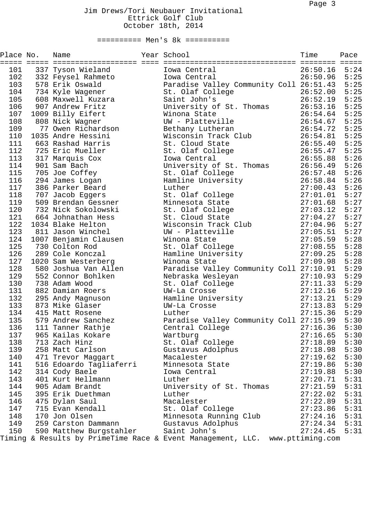| Place No. | Name                    | Year School                                                                  | Time     | Pace<br>$\equiv \equiv \equiv \equiv \equiv$ |
|-----------|-------------------------|------------------------------------------------------------------------------|----------|----------------------------------------------|
| 101       | 337 Tyson Wieland       | Iowa Central                                                                 | 26:50.16 | 5:24                                         |
| 102       | 332 Feysel Rahmeto      | Iowa Central                                                                 | 26:50.96 | 5:25                                         |
| 103       | 578 Erik Oswald         | Paradise Valley Community Coll 26:51.43                                      |          | 5:25                                         |
| 104       | 734 Kyle Wagener        | St. Olaf College                                                             | 26:52.00 | 5:25                                         |
| 105       | 608 Maxwell Kuzara      | Saint John's                                                                 | 26:52.19 | 5:25                                         |
| 106       | 907 Andrew Fritz        | University of St. Thomas                                                     | 26:53.16 | 5:25                                         |
| 107       | 1009 Billy Eifert       | Winona State                                                                 | 26:54.64 | 5:25                                         |
| 108       | 808 Nick Wagner         | UW - Platteville                                                             | 26:54.67 | 5:25                                         |
| 109       | 77 Owen Richardson      | Bethany Lutheran                                                             | 26:54.72 | 5:25                                         |
| 110       | 1035 Andre Hessini      | Wisconsin Track Club                                                         | 26:54.81 | 5:25                                         |
| 111       | 663 Rashad Harris       | St. Cloud State                                                              | 26:55.40 | 5:25                                         |
| 112       | 725 Eric Mueller        | St. Olaf College                                                             | 26:55.47 | 5:25                                         |
| 113       | 317 Marquis Cox         | Iowa Central                                                                 | 26:55.88 | 5:26                                         |
| 114       | 901 Sam Bach            | University of St. Thomas                                                     | 26:56.49 | 5:26                                         |
| 115       | 705 Joe Coffey          | St. Olaf College                                                             | 26:57.48 | 5:26                                         |
| 116       | 294 James Logan         | Hamline University                                                           | 26:58.84 | 5:26                                         |
| 117       | 386 Parker Beard        | Luther                                                                       | 27:00.43 | 5:26                                         |
| 118       | 707 Jacob Eggers        | St. Olaf College                                                             | 27:01.01 | 5:27                                         |
| 119       | 509 Brendan Gessner     | Minnesota State                                                              | 27:01.68 | 5:27                                         |
| 120       | 732 Nick Sokolowski     | St. Olaf College                                                             | 27:03.12 | 5:27                                         |
| 121       | 664 Johnathan Hess      | St. Cloud State                                                              | 27:04.27 | 5:27                                         |
| 122       | 1034 Blake Helton       | Wisconsin Track Club                                                         | 27:04.96 | 5:27                                         |
| 123       | 811 Jason Winchel       | UW - Platteville                                                             | 27:05.51 | 5:27                                         |
| 124       | 1007 Benjamin Clausen   | Winona State                                                                 | 27:05.59 | 5:28                                         |
| 125       | 730 Colton Rod          | St. Olaf College                                                             | 27:08.55 | 5:28                                         |
| 126       | 289 Cole Konczal        | Hamline University                                                           | 27:09.25 | 5:28                                         |
| 127       | 1020 Sam Westerberg     | Winona State                                                                 | 27:09.98 | 5:28                                         |
| 128       | 580 Joshua Van Allen    | Paradise Valley Community Coll 27:10.91                                      |          | 5:29                                         |
| 129       | 552 Connor Bohlken      | Nebraska Wesleyan                                                            | 27:10.93 | 5:29                                         |
| 130       | 738 Adam Wood           | St. Olaf College                                                             | 27:11.33 | 5:29                                         |
| 131       | 882 Damian Roers        | UW-La Crosse                                                                 | 27:12.16 | 5:29                                         |
| 132       | 295 Andy Magnuson       | Hamline University                                                           | 27:13.21 | 5:29                                         |
| 133       | 873 Mike Glaser         | UW-La Crosse                                                                 | 27:13.83 | 5:29                                         |
| 134       | 415 Matt Rosene         | Luther                                                                       | 27:15.36 | 5:29                                         |
| 135       | 579 Andrew Sanchez      | Paradise Valley Community Coll 27:15.99                                      |          | 5:30                                         |
| 136       | 111 Tanner Rathje       | Central College                                                              | 27:16.36 | 5:30                                         |
| 137       | 965 Kailas Kokare       | Wartburg                                                                     | 27:16.65 | 5:30                                         |
| 138       | 713 Zach Hinz           | St. Olaf College                                                             | 27:18.89 | 5:30                                         |
| 139       | 258 Matt Carlson        | Gustavus Adolphus                                                            | 27:18.98 | 5:30                                         |
| 140       | 471 Trevor Maggart      | Macalester                                                                   | 27:19.62 | 5:30                                         |
| 141       | 516 Edoardo Tagliaferri | Minnesota State                                                              | 27:19.86 | 5:30                                         |
| 142       | 314 Cody Baele          | Iowa Central                                                                 | 27:19.88 | 5:30                                         |
| 143       | 401 Kurt Hellmann       | Luther                                                                       | 27:20.71 | 5:31                                         |
| 144       | 905 Adam Brandt         | University of St. Thomas                                                     | 27:21.59 | 5:31                                         |
| 145       | 395 Erik Duethman       | Luther                                                                       | 27:22.02 | 5:31                                         |
| 146       | 475 Dylan Saul          | Macalester                                                                   | 27:22.89 | 5:31                                         |
| 147       | 715 Evan Kendall        | St. Olaf College                                                             | 27:23.86 | 5:31                                         |
| 148       | 170 Jon Olsen           | Minnesota Running Club                                                       | 27:24.16 | 5:31                                         |
| 149       | 259 Carston Dammann     | Gustavus Adolphus                                                            | 27:24.34 | 5:31                                         |
| 150       | 590 Matthew Burgstahler | Saint John's                                                                 | 27:24.45 | 5:31                                         |
|           |                         | Timing & Results by PrimeTime Race & Event Management, LLC. www.pttiming.com |          |                                              |
|           |                         |                                                                              |          |                                              |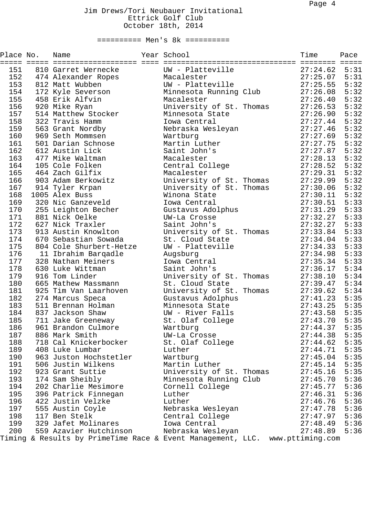| Place No. | Name                                                                         | Year School              |  | Time     | Pace |
|-----------|------------------------------------------------------------------------------|--------------------------|--|----------|------|
| 151       | 810 Garret Wernecke                                                          | UW - Platteville         |  | 27:24.62 | 5:31 |
| 152       | 474 Alexander Ropes                                                          | Macalester               |  | 27:25.07 | 5:31 |
| 153       | 812 Matt Wubben                                                              | UW - Platteville         |  | 27:25.55 | 5:32 |
| 154       | 172 Kyle Severson                                                            | Minnesota Running Club   |  | 27:26.08 | 5:32 |
| 155       | 458 Erik Alfvin                                                              | Macalester               |  | 27:26.40 | 5:32 |
| 156       | 920 Mike Ryan                                                                | University of St. Thomas |  | 27:26.53 | 5:32 |
| 157       | 514 Matthew Stocker                                                          | Minnesota State          |  | 27:26.90 | 5:32 |
| 158       | 322 Travis Hamm                                                              | Iowa Central             |  | 27:27.44 | 5:32 |
| 159       | 563 Grant Nordby                                                             | Nebraska Wesleyan        |  | 27:27.46 | 5:32 |
| 160       | 969 Seth Mommsen                                                             | Wartburg                 |  | 27:27.69 | 5:32 |
| 161       | 501 Darian Schnose                                                           | Martin Luther            |  | 27:27.75 | 5:32 |
| 162       | 612 Austin Lick                                                              | Saint John's             |  | 27:27.87 | 5:32 |
| 163       | 477 Mike Waltman                                                             | Macalester               |  | 27:28.13 | 5:32 |
| 164       | 105 Cole Folken                                                              | Central College          |  | 27:28.52 | 5:32 |
| 165       | 464 Zach Gilfix                                                              | Macalester               |  | 27:29.31 | 5:32 |
| 166       | 903 Adam Berkowitz                                                           | University of St. Thomas |  | 27:29.99 | 5:32 |
| 167       | 914 Tyler Krpan                                                              | University of St. Thomas |  | 27:30.06 | 5:32 |
| 168       | 1005 Alex Buss                                                               | Winona State             |  | 27:30.11 | 5:32 |
| 169       | 320 Nic Ganzeveld                                                            | Iowa Central             |  | 27:30.51 | 5:33 |
| 170       | 255 Leighton Becher                                                          | Gustavus Adolphus        |  | 27:31.29 | 5:33 |
| 171       | 881 Nick Oelke                                                               | UW-La Crosse             |  | 27:32.27 | 5:33 |
| 172       | 627 Nick Traxler                                                             | Saint John's             |  | 27:32.27 | 5:33 |
| 173       | 913 Austin Knowlton                                                          | University of St. Thomas |  | 27:33.84 | 5:33 |
| 174       | 670 Sebastian Sowada                                                         | St. Cloud State          |  | 27:34.04 | 5:33 |
| 175       | 804 Cole Shurbert-Hetze                                                      | UW - Platteville         |  | 27:34.33 | 5:33 |
| 176       | 11 Ibrahim Barqadle                                                          | Augsburg                 |  | 27:34.98 | 5:33 |
| 177       | 328 Nathan Meiners                                                           | Iowa Central             |  | 27:35.34 | 5:33 |
| 178       | 630 Luke Wittman                                                             | Saint John's             |  | 27:36.17 | 5:34 |
| 179       | 916 Tom Linder                                                               | University of St. Thomas |  | 27:38.10 | 5:34 |
| 180       | 665 Mathew Massmann                                                          | St. Cloud State          |  | 27:39.47 | 5:34 |
| 181       | 925 Tim Van Laarhoven                                                        | University of St. Thomas |  | 27:39.62 | 5:34 |
| 182       | 274 Marcus Speca                                                             | Gustavus Adolphus        |  | 27:41.23 | 5:35 |
| 183       | 511 Brennan Holman                                                           | Minnesota State          |  | 27:43.25 | 5:35 |
| 184       | 837 Jackson Shaw                                                             | UW - River Falls         |  | 27:43.58 | 5:35 |
| 185       | 711 Jake Greeneway                                                           | St. Olaf College         |  | 27:43.70 | 5:35 |
| 186       | 961 Brandon Culmore                                                          | Wartburg                 |  | 27:44.37 | 5:35 |
| 187       | 886 Mark Smith                                                               | UW-La Crosse             |  | 27:44.38 | 5:35 |
| 188       | 718 Cal Knickerbocker                                                        | St. Olaf College         |  | 27:44.62 | 5:35 |
| 189       | 408 Luke Lumbar                                                              | Luther                   |  | 27:44.71 | 5:35 |
| 190       | 963 Juston Hochstetler                                                       | Wartburg                 |  | 27:45.04 | 5:35 |
| 191       | 506 Justin Wilkens                                                           | Martin Luther            |  | 27:45.14 | 5:35 |
| 192       | 923 Grant Suttie                                                             | University of St. Thomas |  | 27:45.16 | 5:35 |
| 193       | 174 Sam Sheibly                                                              | Minnesota Running Club   |  | 27:45.70 | 5:36 |
| 194       | 202 Charlie Mesimore                                                         | Cornell College          |  | 27:45.77 | 5:36 |
| 195       | 396 Patrick Finnegan                                                         | Luther                   |  | 27:46.31 | 5:36 |
| 196       | 422 Justin Velzke                                                            | Luther                   |  | 27:46.76 | 5:36 |
| 197       | 555 Austin Coyle                                                             | Nebraska Wesleyan        |  | 27:47.78 | 5:36 |
| 198       | 117 Ben Stelk                                                                | Central College          |  | 27:47.97 | 5:36 |
| 199       | 329 Jafet Molinares                                                          | Iowa Central             |  | 27:48.49 | 5:36 |
| 200       | 559 Azavier Hutchinson                                                       | Nebraska Wesleyan        |  | 27:48.89 | 5:36 |
|           | Timing & Results by PrimeTime Race & Event Management, LLC. www.pttiming.com |                          |  |          |      |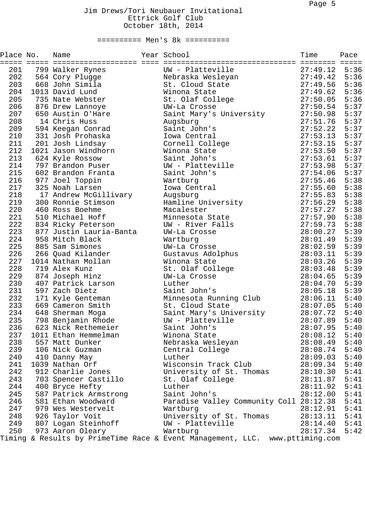| Place No.  | Name                    | Year School                                                                  | Time     | Pace         |
|------------|-------------------------|------------------------------------------------------------------------------|----------|--------------|
| 201        | 799 Walker Rynes        | UW - Platteville                                                             | 27:49.12 | 5:36         |
| 202        | 564 Cory Plugge         | Nebraska Wesleyan                                                            | 27:49.42 | 5:36         |
| 203        | 668 John Simila         | St. Cloud State                                                              | 27:49.56 | 5:36         |
| 204        | 1013 David Lund         | Winona State                                                                 | 27:49.62 | 5:36         |
| 205        | 735 Nate Webster        | St. Olaf College                                                             | 27:50.05 | 5:36         |
| 206        | 876 Drew Lannoye        | UW-La Crosse                                                                 | 27:50.54 | 5:37         |
| 207        | 650 Austin O'Hare       | Saint Mary's University                                                      | 27:50.98 | 5:37         |
| 208        | 14 Chris Huss           | Augsburg                                                                     | 27:51.76 | 5:37         |
| 209        | 594 Keegan Conrad       | Saint John's                                                                 | 27:52.22 | 5:37         |
| 210        | 331 Josh Prohaska       | Iowa Central                                                                 | 27:53.13 | 5:37         |
| 211        | 201 Josh Lindsay        | Cornell College                                                              | 27:53.15 | 5:37         |
| 212        | 1021 Jason Windhorn     | Winona State                                                                 | 27:53.50 | 5:37         |
| 213        | 624 Kyle Rossow         | Saint John's                                                                 | 27:53.61 | 5:37         |
| 214        | 797 Brandon Puser       | UW - Platteville                                                             | 27:53.98 | 5:37         |
| 215        | 602 Brandon Franta      | Saint John's                                                                 | 27:54.06 | 5:37         |
| 216        | 977 Joel Toppin         | Wartburg                                                                     | 27:55.46 | 5:38         |
| 217        | 325 Noah Larsen         | Iowa Central                                                                 | 27:55.60 | 5:38         |
| 218        | 17 Andrew McGillivary   | Augsburg                                                                     | 27:55.83 | 5:38         |
| 219        | 300 Ronnie Stimson      | Hamline University                                                           | 27:56.29 | 5:38         |
| 220        | 460 Ross Boehme         | Macalester                                                                   | 27:57.27 | 5:38         |
| 221        | 510 Michael Hoff        | Minnesota State                                                              | 27:57.90 | 5:38         |
| 222        | 834 Ricky Peterson      | UW - River Falls                                                             | 27:59.73 | 5:38         |
| 223        | 877 Justin Lauria-Banta | UW-La Crosse                                                                 | 28:00.27 | 5:39         |
| 224        | 958 Mitch Black         | Wartburg                                                                     | 28:01.49 | 5:39         |
| 225        | 885 Sam Simones         | UW-La Crosse                                                                 | 28:02.59 | 5:39         |
| 226        | 266 Quad Kilander       | Gustavus Adolphus                                                            | 28:03.11 | 5:39         |
| 227        | 1014 Nathan Mollan      | Winona State                                                                 | 28:03.26 | 5:39         |
| 228        | 719 Alex Kunz           | St. Olaf College                                                             | 28:03.48 | 5:39         |
| 229        | 874 Joseph Hinz         | UW-La Crosse                                                                 | 28:04.65 | 5:39         |
| 230        | 407 Patrick Larson      | Luther                                                                       | 28:04.70 | 5:39         |
| 231        | 597 Zach Dietz          | Saint John's                                                                 | 28:05.18 | 5:39         |
| 232        | 171 Kyle Genteman       | Minnesota Running Club                                                       | 28:06.11 | 5:40         |
| 233        | 669 Cameron Smith       | St. Cloud State                                                              | 28:07.05 | 5:40         |
| 234        | 648 Sherman Moga        | Saint Mary's University                                                      | 28:07.72 | 5:40         |
| 235        | 798 Benjamin Rhode      | UW - Platteville                                                             | 28:07.89 | 5:40         |
| 236        | 623 Nick Rethemeier     | Saint John's                                                                 | 28:07.95 | 5:40         |
| 237        | 1011 Ethan Hemmelman    | Winona State                                                                 | 28:08.12 | 5:40         |
| 238        | 557 Matt Dunker         | Nebraska Wesleyan                                                            | 28:08.49 | 5:40         |
| 239        | 106 Nick Guzman         | Central College                                                              | 28:08.74 | 5:40         |
| 240        | 410 Danny May           | Luther                                                                       | 28:09.03 | 5:40         |
| 241        | 1039 Nathan Orf         | Wisconsin Track Club                                                         | 28:09.34 | 5:40         |
| 242        | 912 Charlie Jones       | University of St. Thomas                                                     | 28:10.30 | 5:41         |
| 243        | 703 Spencer Castillo    | St. Olaf College                                                             | 28:11.87 | 5:41         |
| 244        | 400 Bryce Hefty         | Luther                                                                       |          | 5:41         |
| 245        | 587 Patrick Armstrong   | Saint John's                                                                 | 28:11.92 | 5:41         |
|            |                         |                                                                              | 28:12.00 |              |
| 246<br>247 | 581 Ethan Woodward      | Paradise Valley Community Coll 28:12.38                                      | 28:12.91 | 5:41<br>5:41 |
|            | 979 Wes Westervelt      | Wartburg                                                                     |          | 5:41         |
|            | 248 926 Taylor Voit     | University of St. Thomas                                                     | 28:13.11 |              |
|            | 249 807 Logan Steinhoff | UW - Platteville                                                             | 28:14.40 | 5:41<br>5:42 |
| 250        | 973 Aaron Oleary        | Wartburg                                                                     | 28:17.34 |              |
|            |                         | Timing & Results by PrimeTime Race & Event Management, LLC. www.pttiming.com |          |              |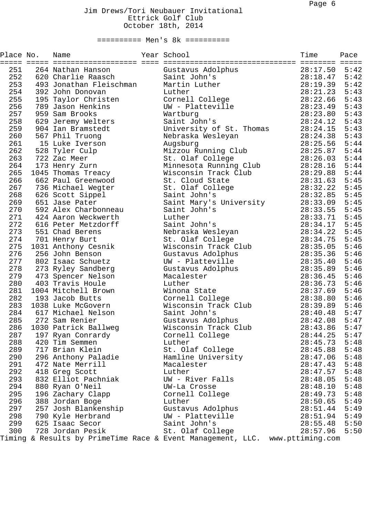| Place No. | Name                    | Year School                                                                  | Time<br>======== ===== | Pace |
|-----------|-------------------------|------------------------------------------------------------------------------|------------------------|------|
| 251       | 264 Nathan Hanson       | Gustavus Adolphus                                                            | 28:17.50               | 5:42 |
| 252       | 620 Charlie Raasch      | Saint John's                                                                 | 28:18.47               | 5:42 |
| 253       | 493 Jonathan Fleischman | Martin Luther                                                                | 28:19.39               | 5:42 |
| 254       | 392 John Donovan        | Luther                                                                       | 28:21.23               | 5:43 |
| 255       | 195 Taylor Christen     | Cornell College                                                              | 28:22.66               | 5:43 |
| 256       | 789 Jason Henkins       | UW - Platteville                                                             | 28:23.49               | 5:43 |
| 257       | 959 Sam Brooks          | Wartburg                                                                     | 28:23.80               | 5:43 |
| 258       | 629 Jeremy Welters      | Saint John's                                                                 | 28:24.12               | 5:43 |
| 259       | 904 Ian Bramstedt       | University of St. Thomas                                                     | 28:24.15               | 5:43 |
| 260       | 567 Phil Truong         | Nebraska Wesleyan                                                            | 28:24.38               | 5:43 |
| 261       | 15 Luke Iverson         | Augsburg                                                                     | 28:25.56               | 5:44 |
| 262       | 528 Tyler Culp          | Mizzou Running Club                                                          | 28:25.87               | 5:44 |
| 263       | 722 Zac Meer            | St. Olaf College                                                             | 28:26.03               | 5:44 |
| 264       | 173 Henry Zurn          | Minnesota Running Club                                                       | 28:28.16               | 5:44 |
| 265       | 1045 Thomas Treacy      | Wisconsin Track Club                                                         | 28:29.88               | 5:44 |
| 266       | 662 Paul Greenwood      | St. Cloud State                                                              | 28:31.63               | 5:45 |
| 267       | 736 Michael Wegter      | St. Olaf College                                                             | 28:32.22               | 5:45 |
| 268       | 626 Scott Sippel        | Saint John's                                                                 | 28:32.85               | 5:45 |
| 269       | 651 Jase Pater          | Saint Mary's University                                                      | 28:33.09               | 5:45 |
| 270       | 592 Alex Charbonneau    | Saint John's                                                                 | 28:33.55               | 5:45 |
| 271       | 424 Aaron Weckwerth     | Luther                                                                       | 28:33.71               | 5:45 |
| 272       | 616 Peter Metzdorff     | Saint John's                                                                 | 28:34.17               | 5:45 |
| 273       | 551 Chad Berens         | Nebraska Wesleyan                                                            | 28:34.22               | 5:45 |
| 274       | 701 Henry Burt          | St. Olaf College                                                             | 28:34.75               | 5:45 |
| 275       | 1031 Anthony Cesnik     | Wisconsin Track Club                                                         | 28:35.05               | 5:46 |
| 276       | 256 John Benson         | Gustavus Adolphus                                                            | 28:35.36               | 5:46 |
| 277       | 802 Isaac Schuetz       | UW - Platteville                                                             | 28:35.40               | 5:46 |
| 278       | 273 Ryley Sandberg      | Gustavus Adolphus                                                            | 28:35.89               | 5:46 |
| 279       | 473 Spencer Nelson      | Macalester                                                                   | 28:36.45               | 5:46 |
| 280       | 403 Travis Houle        | Luther                                                                       | 28:36.73               | 5:46 |
| 281       | 1004 Mitchell Brown     | Winona State                                                                 | 28:37.69               | 5:46 |
| 282       | 193 Jacob Butts         | Cornell College                                                              | 28:38.80               | 5:46 |
| 283       | 1038 Luke McGovern      | Wisconsin Track Club                                                         | 28:39.89               | 5:46 |
| 284       | 617 Michael Nelson      | Saint John's                                                                 | 28:40.48               | 5:47 |
| 285       | 272 Sam Renier          | Gustavus Adolphus                                                            | 28:42.08               | 5:47 |
| 286       | 1030 Patrick Ballweg    | Wisconsin Track Club                                                         | 28:43.86               | 5:47 |
| 287       | 197 Ryan Conrardy       | Cornell College                                                              | 28:44.25               | 5:47 |
| 288       | 420 Tim Semmen          | Luther                                                                       | 28:45.73               | 5:48 |
| 289       | 717 Brian Klein         | St. Olaf College                                                             | 28:45.88               | 5:48 |
| 290       | 296 Anthony Paladie     | Hamline University                                                           | 28:47.06               | 5:48 |
| 291       | 472 Nate Merrill        | Macalester                                                                   | 28:47.43               | 5:48 |
| 292       | 418 Greg Scott          | Luther                                                                       | 28:47.57               | 5:48 |
| 293       | 832 Elliot Pachniak     | UW - River Falls                                                             | 28:48.05               | 5:48 |
| 294       | 880 Ryan O'Neil         | UW-La Crosse                                                                 | 28:48.10               | 5:48 |
| 295       | 196 Zachary Clapp       | Cornell College                                                              | 28:49.73               | 5:48 |
| 296       | 388 Jordan Boge         | Luther                                                                       | 28:50.65               | 5:49 |
| 297       | 257 Josh Blankenship    | Gustavus Adolphus                                                            | 28:51.44               | 5:49 |
| 298       | 790 Kyle Herbrand       | UW - Platteville                                                             | 28:51.94               | 5:49 |
| 299       | 625 Isaac Secor         | Saint John's                                                                 | 28:55.48               | 5:50 |
| 300       | 728 Jordan Pesik        | St. Olaf College                                                             | 28:57.96               | 5:50 |
|           |                         | Timing & Results by PrimeTime Race & Event Management, LLC. www.pttiming.com |                        |      |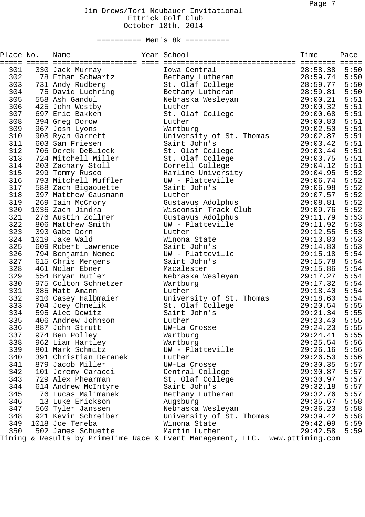| Place No.  | Name                                     | Year School<br>============================                                  | Time<br>========     | Pace<br>$\equiv \equiv \equiv \equiv \equiv$ |
|------------|------------------------------------------|------------------------------------------------------------------------------|----------------------|----------------------------------------------|
| 301        | 330 Jack Murray                          | Iowa Central                                                                 | 28:58.38             | 5:50                                         |
| 302        | 78 Ethan Schwartz                        | Bethany Lutheran                                                             | 28:59.74             | 5:50                                         |
| 303        | 731 Andy Rudberg                         | St. Olaf College                                                             | 28:59.77             | 5:50                                         |
| 304        | 75 David Luehring                        | Bethany Lutheran                                                             | 28:59.81             | 5:50                                         |
| 305        | 558 Ash Gandul                           | Nebraska Wesleyan                                                            | 29:00.21             | 5:51                                         |
| 306        | 425 John Westby                          | Luther                                                                       | 29:00.32             | 5:51                                         |
| 307        | 697 Eric Bakken                          | St. Olaf College                                                             | 29:00.68             | 5:51                                         |
| 308        | 394 Greg Dorow                           | Luther                                                                       | 29:00.83             | 5:51                                         |
| 309        | 967 Josh Lyons                           | Wartburg                                                                     | 29:02.50             | 5:51                                         |
| 310        | 908 Ryan Garrett                         | University of St. Thomas                                                     | 29:02.87             | 5:51                                         |
| 311        | 603 Sam Friesen                          | Saint John's                                                                 | 29:03.42             | 5:51                                         |
| 312        | 706 Derek DeBlieck                       | St. Olaf College                                                             | 29:03.44             | 5:51                                         |
| 313        | 724 Mitchell Miller                      | St. Olaf College                                                             | 29:03.75             | 5:51                                         |
| 314        | 203 Zachary Stoll                        | Cornell College                                                              | 29:04.12             | 5:51                                         |
| 315        | 299 Tommy Rusco                          | Hamline University                                                           | 29:04.95             | 5:52                                         |
| 316        | 793 Mitchell Muffler                     | UW - Platteville                                                             | 29:06.74             | 5:52                                         |
| 317        | 588 Zach Bigaouette                      | Saint John's                                                                 | 29:06.98             | 5:52                                         |
| 318        | 397 Matthew Gausmann                     | Luther                                                                       | 29:07.57             | 5:52                                         |
| 319        | 269 Iain McCrory                         | Gustavus Adolphus                                                            | 29:08.81             | 5:52                                         |
| 320        | 1036 Zach Jindra                         | Wisconsin Track Club                                                         | 29:09.76             | 5:52                                         |
| 321        | 276 Austin Zollner                       | Gustavus Adolphus                                                            | 29:11.79             | 5:53                                         |
| 322        | 806 Matthew Smith                        | UW - Platteville                                                             | 29:11.92             | 5:53                                         |
| 323        | 393 Gabe Dorn                            | Luther                                                                       | 29:12.55             | 5:53                                         |
| 324        | 1019 Jake Wald                           | Winona State                                                                 | 29:13.83             | 5:53                                         |
| 325        | 609 Robert Lawrence                      | Saint John's                                                                 | 29:14.80             | 5:53                                         |
| 326        | 794 Benjamin Nemec                       | UW - Platteville                                                             | 29:15.18             | 5:54                                         |
| 327        | 615 Chris Mergens                        | Saint John's                                                                 | 29:15.78             | 5:54                                         |
| 328        | 461 Nolan Ebner                          | Macalester                                                                   | 29:15.86             | 5:54                                         |
| 329        | 554 Bryan Butler                         | Nebraska Wesleyan                                                            | 29:17.27             | 5:54                                         |
| 330        | 975 Colton Schnetzer                     | Wartburg                                                                     | 29:17.32             | 5:54                                         |
| 331        | 385 Matt Amann                           | Luther                                                                       | 29:18.40             | 5:54                                         |
| 332        | 910 Casey Halbmaier                      | University of St. Thomas                                                     | 29:18.60             | 5:54                                         |
| 333        | 704 Joey Chmelik                         | St. Olaf College                                                             | 29:20.54             | 5:55                                         |
| 334        | 595 Alec Dewitz                          | Saint John's                                                                 | 29:21.34             | 5:55                                         |
| 335        | 406 Andrew Johnson                       | Luther                                                                       | 29:23.40             | 5:55                                         |
| 336        | 887 John Strutt                          | UW-La Crosse                                                                 | 29:24.23             | 5:55                                         |
| 337        | 974 Ben Polley                           | Wartburg                                                                     | 29:24.41             | 5:55                                         |
| 338        | 962 Liam Hartley                         | Wartburg                                                                     | 29:25.54             | 5:56                                         |
| 339        | 801 Mark Schmitz                         | UW - Platteville                                                             | 29:26.16             | 5:56                                         |
| 340        | 391 Christian Deranek                    | Luther                                                                       | 29:26.50             | 5:56                                         |
| 341        | 879 Jacob Miller                         | UW-La Crosse                                                                 | 29:30.35             | 5:57                                         |
| 342        | 101 Jeremy Caracci                       | Central College                                                              | 29:30.87             | 5:57                                         |
| 343        | 729 Alex Phearman                        | St. Olaf College                                                             | 29:30.97             | 5:57<br>5:57                                 |
| 344<br>345 | 614 Andrew McIntyre                      | Saint John's                                                                 | 29:32.18<br>29:32.76 | 5:57                                         |
|            | 76 Lucas Malimanek                       | Bethany Lutheran                                                             |                      |                                              |
| 346        | 13 Luke Erickson                         | Augsburg<br>Nebraska Wesleyan                                                | 29:35.67<br>29:36.23 | 5:58<br>5:58                                 |
| 347<br>348 | 560 Tyler Janssen<br>921 Kevin Schreiber | University of St. Thomas                                                     | 29:39.42             | 5:58                                         |
| 349        | 1018 Joe Tereba                          | Winona State                                                                 | 29:42.09             | 5:59                                         |
| 350        | 502 James Schuette                       | Martin Luther                                                                | 29:42.58             | 5:59                                         |
|            |                                          | Timing & Results by PrimeTime Race & Event Management, LLC. www.pttiming.com |                      |                                              |
|            |                                          |                                                                              |                      |                                              |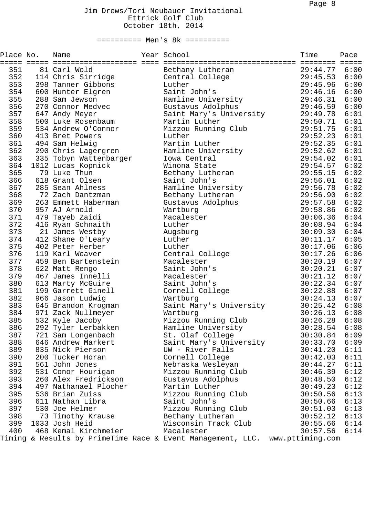| Place No. | Name                   | Year School                                                                  | Time     | Pace<br>$=$ $=$ $=$ $=$ |
|-----------|------------------------|------------------------------------------------------------------------------|----------|-------------------------|
| 351       | 81 Carl Wold           | Bethany Lutheran                                                             | 29:44.77 | 6:00                    |
| 352       | 114 Chris Sirridge     | Central College                                                              | 29:45.53 | 6:00                    |
| 353       | 398 Tanner Gibbons     | Luther                                                                       | 29:45.96 | 6:00                    |
| 354       | 600 Hunter Elgren      | Saint John's                                                                 | 29:46.16 | 6:00                    |
| 355       | 288 Sam Jewson         | Hamline University                                                           | 29:46.31 | 6:00                    |
| 356       | 270 Connor Medvec      | Gustavus Adolphus                                                            | 29:46.59 | 6:00                    |
| 357       | 647 Andy Meyer         | Saint Mary's University                                                      | 29:49.78 | 6:01                    |
| 358       | 500 Luke Rosenbaum     | Martin Luther                                                                | 29:50.71 | 6:01                    |
| 359       | 534 Andrew O'Connor    | Mizzou Running Club                                                          | 29:51.75 | 6:01                    |
| 360       | 413 Bret Powers        | Luther                                                                       | 29:52.23 | 6:01                    |
| 361       | 494 Sam Helwig         | Martin Luther                                                                | 29:52.35 | 6:01                    |
| 362       | 290 Chris Lagergren    | Hamline University                                                           | 29:52.62 | 6:01                    |
| 363       | 335 Tobyn Wattenbarger | Iowa Central                                                                 | 29:54.02 | 6:01                    |
| 364       | 1012 Lucas Kopnick     | Winona State                                                                 | 29:54.57 | 6:02                    |
| 365       | 79 Luke Thun           | Bethany Lutheran                                                             | 29:55.15 | 6:02                    |
| 366       | 618 Grant Olsen        | Saint John's                                                                 | 29:56.01 | 6:02                    |
| 367       | 285 Sean Ahlness       | Hamline University                                                           | 29:56.78 | 6:02                    |
| 368       | 72 Zach Dantzman       | Bethany Lutheran                                                             | 29:56.90 | 6:02                    |
| 369       | 263 Emmett Haberman    | Gustavus Adolphus                                                            | 29:57.58 | 6:02                    |
| 370       | 957 AJ Arnold          | Wartburg                                                                     | 29:58.86 | 6:02                    |
| 371       | 479 Tayeb Zaidi        | Macalester                                                                   | 30:06.36 | 6:04                    |
| 372       | 416 Ryan Schnaith      | Luther                                                                       | 30:08.94 | 6:04                    |
| 373       | 21 James Westby        | Augsburg                                                                     | 30:09.30 | 6:04                    |
| 374       | 412 Shane O'Leary      | Luther                                                                       | 30:11.17 | 6:05                    |
| 375       | 402 Peter Herber       | Luther                                                                       | 30:17.06 | 6:06                    |
| 376       | 119 Karl Weaver        | Central College                                                              | 30:17.26 | 6:06                    |
| 377       | 459 Ben Bartenstein    | Macalester                                                                   | 30:20.19 | 6:07                    |
| 378       | 622 Matt Rengo         | Saint John's                                                                 | 30:20.21 | 6:07                    |
| 379       | 467 James Innelli      | Macalester                                                                   | 30:21.12 | 6:07                    |
| 380       | 613 Marty McGuire      | Saint John's                                                                 | 30:22.34 | 6:07                    |
| 381       | 199 Garrett Ginell     | Cornell College                                                              | 30:22.88 | 6:07                    |
| 382       | 966 Jason Ludwig       | Wartburg                                                                     | 30:24.13 | 6:07                    |
| 383       | 645 Brandon Krogman    | Saint Mary's University                                                      | 30:25.42 | 6:08                    |
| 384       | 971 Zack Nullmeyer     | Wartburg                                                                     | 30:26.13 | 6:08                    |
| 385       | 532 Kyle Jacoby        | Mizzou Running Club                                                          | 30:26.28 | 6:08                    |
| 386       | 292 Tyler Lerbakken    | Hamline University                                                           | 30:28.54 | 6:08                    |
| 387       | 721 Sam Longenbach     | St. Olaf College                                                             | 30:30.84 | 6:09                    |
| 388       | 646 Andrew Markert     | Saint Mary's University                                                      | 30:33.70 | 6:09                    |
| 389       | 835 Nick Pierson       | UW - River Falls                                                             | 30:41.20 | 6:11                    |
| 390       | 200 Tucker Horan       | Cornell College                                                              | 30:42.03 | 6:11                    |
| 391       | 561 John Jones         | Nebraska Wesleyan                                                            | 30:44.27 | 6:11                    |
| 392       | 531 Conor Hourigan     | Mizzou Running Club                                                          | 30:46.39 | 6:12                    |
| 393       | 260 Alex Fredrickson   | Gustavus Adolphus                                                            | 30:48.50 | 6:12                    |
| 394       | 497 Nathanael Plocher  | Martin Luther                                                                | 30:49.23 | 6:12                    |
| 395       | 536 Brian Zuiss        | Mizzou Running Club                                                          | 30:50.56 | 6:13                    |
| 396       | 611 Nathan Libra       | Saint John's                                                                 | 30:50.66 | 6:13                    |
| 397       | 530 Joe Helmer         | Mizzou Running Club                                                          | 30:51.03 | 6:13                    |
| 398       | 73 Timothy Krause      | Bethany Lutheran                                                             | 30:52.12 | 6:13                    |
| 399       | 1033 Josh Heid         | Wisconsin Track Club                                                         | 30:55.66 | 6:14                    |
| 400       | 468 Kemal Kirchmeier   | Macalester                                                                   | 30:57.56 | 6:14                    |
|           |                        | Timing & Results by PrimeTime Race & Event Management, LLC. www.pttiming.com |          |                         |